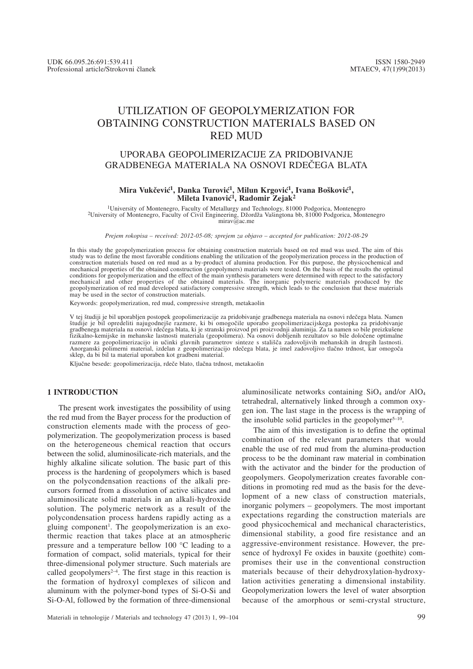# UTILIZATION OF GEOPOLYMERIZATION FOR OBTAINING CONSTRUCTION MATERIALS BASED ON RED MUD

## UPORABA GEOPOLIMERIZACIJE ZA PRIDOBIVANJE GRADBENEGA MATERIALA NA OSNOVI RDE^EGA BLATA

#### Mira Vukčević<sup>1</sup>, Danka Turović<sup>1</sup>, Milun Krgović<sup>1</sup>, Ivana Bošković<sup>1</sup>, Mileta Ivanović<sup>1</sup>, Radomir Zejak<sup>2</sup>

1University of Montenegro, Faculty of Metallurgy and Technology, 81000 Podgorica, Montenegro 2University of Montenegro, Faculty of Civil Engineering, D`ord`a Va{ingtona bb, 81000 Podgorica, Montenegro mirav@ac.me

*Prejem rokopisa – received: 2012-05-08; sprejem za objavo – accepted for publication: 2012-08-29*

In this study the geopolymerization process for obtaining construction materials based on red mud was used. The aim of this study was to define the most favorable conditions enabling the utilization of the geopolymerization process in the production of construction materials based on red mud as a by-product of alumina production. For this purpose, the physicochemical and mechanical properties of the obtained construction (geopolymers) materials were tested. On the basis of the results the optimal conditions for geopolymerization and the effect of the main synthesis parameters were determined with repect to the satisfactory mechanical and other properties of the obtained materials. The inorganic polymeric materials produced by the<br>geopolymerization of red mud developed satisfactory compressive strength, which leads to the conclusion that thes may be used in the sector of construction materials.

Keywords: geopolymerization, red mud, compressive strength, metakaolin

V tej študiji je bil uporabljen postopek geopolimerizacije za pridobivanje gradbenega materiala na osnovi rdečega blata. Namen študije je bil opredeliti najugodnejše razmere, ki bi omogočile uporabo geopolimerizacijskega postopka za pridobivanje gradbenega materiala na osnovi rdečega blata, ki je stranski proizvod pri proizvodnji aluminija. Za ta namen so bile preizkušene<br>fizikalno-kemijske in mehanske lastnosti materiala (geopolimera). Na osnovi dobljenih rezulta razmere za geopolimerizacijo in učinki glavnih parametrov sinteze s stališča zadovoljivih mehanskih in drugih lastnosti. Anorganski polimerni material, izdelan z geopolimerizacijo rdečega blata, je imel zadovoljivo tlačno trdnost, kar omogoča<br>sklep, da bi bil ta material uporaben kot gradbeni material.

Ključne besede: geopolimerizacija, rdeče blato, tlačna trdnost, metakaolin

#### **1 INTRODUCTION**

The present work investigates the possibility of using the red mud from the Bayer process for the production of construction elements made with the process of geopolymerization. The geopolymerization process is based on the heterogeneous chemical reaction that occurs between the solid, aluminosilicate-rich materials, and the highly alkaline silicate solution. The basic part of this process is the hardening of geopolymers which is based on the polycondensation reactions of the alkali precursors formed from a dissolution of active silicates and aluminosilicate solid materials in an alkali-hydroxide solution. The polymeric network as a result of the polycondensation process hardens rapidly acting as a gluing component<sup>1</sup>. The geopolymerization is an exothermic reaction that takes place at an atmospheric pressure and a temperature bellow 100 °C leading to a formation of compact, solid materials, typical for their three-dimensional polymer structure. Such materials are called geopolymers<sup> $2-4$ </sup>. The first stage in this reaction is the formation of hydroxyl complexes of silicon and aluminum with the polymer-bond types of Si-O-Si and Si-O-Al, followed by the formation of three-dimensional

aluminosilicate networks containing  $SiO<sub>4</sub>$  and/or  $AlO<sub>4</sub>$ tetrahedral, alternatively linked through a common oxygen ion. The last stage in the process is the wrapping of the insoluble solid particles in the geopolymer $5-10$ .

The aim of this investigation is to define the optimal combination of the relevant parameters that would enable the use of red mud from the alumina-production process to be the dominant raw material in combination with the activator and the binder for the production of geopolymers. Geopolymerization creates favorable conditions in promoting red mud as the basis for the development of a new class of construction materials, inorganic polymers – geopolymers. The most important expectations regarding the construction materials are good physicochemical and mechanical characteristics, dimensional stability, a good fire resistance and an aggressive-environment resistance. However, the presence of hydroxyl Fe oxides in bauxite (goethite) compromises their use in the conventional construction materials because of their dehydroxylation-hydroxylation activities generating a dimensional instability. Geopolymerization lowers the level of water absorption because of the amorphous or semi-crystal structure,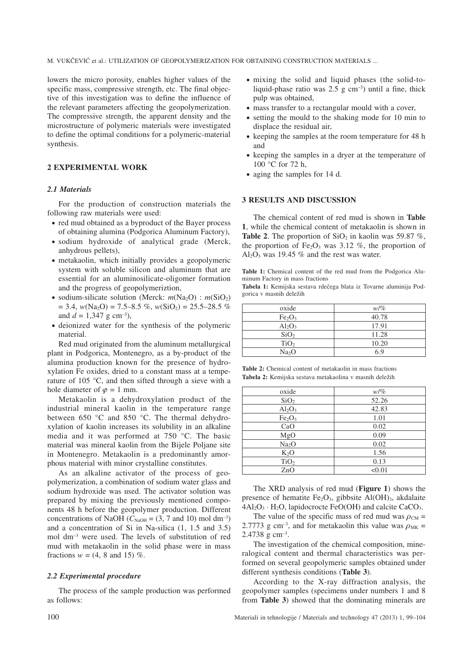M. VUKČEVIĆ et al.: UTILIZATION OF GEOPOLYMERIZATION FOR OBTAINING CONSTRUCTION MATERIALS ...

lowers the micro porosity, enables higher values of the specific mass, compressive strength, etc. The final objective of this investigation was to define the influence of the relevant parameters affecting the geopolymerization. The compressive strength, the apparent density and the microstructure of polymeric materials were investigated to define the optimal conditions for a polymeric-material synthesis.

#### **2 EXPERIMENTAL WORK**

#### *2.1 Materials*

For the production of construction materials the following raw materials were used:

- red mud obtained as a byproduct of the Bayer process of obtaining alumina (Podgorica Aluminum Factory),
- sodium hydroxide of analytical grade (Merck, anhydrous pellets),
- metakaolin, which initially provides a geopolymeric system with soluble silicon and aluminum that are essential for an aluminosilicate-oligomer formation and the progress of geopolymeriztion,
- sodium-silicate solution (Merck:  $m(Na_2O)$ :  $m(SiO_2)$ )  $= 3.4$ , *w*(Na<sub>2</sub>O) = 7.5–8.5 %, *w*(SiO<sub>2</sub>) = 25.5–28.5 % and  $d = 1,347$  g cm<sup>-3</sup>),
- deionized water for the synthesis of the polymeric material.

Red mud originated from the aluminum metallurgical plant in Podgorica, Montenegro, as a by-product of the alumina production known for the presence of hydroxylation Fe oxides, dried to a constant mass at a temperature of 105 °C, and then sifted through a sieve with a hole diameter of  $\varphi = 1$  mm.

Metakaolin is a dehydroxylation product of the industrial mineral kaolin in the temperature range between 650 °C and 850 °C. The thermal dehydroxylation of kaolin increases its solubility in an alkaline media and it was performed at 750 °C. The basic material was mineral kaolin from the Bijele Poljane site in Montenegro. Metakaolin is a predominantly amorphous material with minor crystalline constitutes.

As an alkaline activator of the process of geopolymerization, a combination of sodium water glass and sodium hydroxide was used. The activator solution was prepared by mixing the previously mentioned components 48 h before the geopolymer production. Different concentrations of NaOH ( $C_{\text{NaOH}}$  = (3, 7 and 10) mol dm<sup>-3</sup>) and a concentration of Si in Na-silica (1, 1.5 and 3.5) mol dm–3 were used. The levels of substitution of red mud with metakaolin in the solid phase were in mass fractions  $w = (4, 8 \text{ and } 15)$  %.

#### *2.2 Experimental procedure*

The process of the sample production was performed as follows:

- mixing the solid and liquid phases (the solid-toliquid-phase ratio was  $2.5 \text{ g cm}^{-3}$ ) until a fine, thick pulp was obtained,
- mass transfer to a rectangular mould with a cover,
- setting the mould to the shaking mode for 10 min to displace the residual air,
- keeping the samples at the room temperature for 48 h and
- keeping the samples in a dryer at the temperature of 100 °C for 72 h.
- aging the samples for 14 d.

#### **3 RESULTS AND DISCUSSION**

The chemical content of red mud is shown in **Table 1**, while the chemical content of metakaolin is shown in **Table 2.** The proportion of  $SiO<sub>2</sub>$  in kaolin was 59.87 %, the proportion of  $Fe<sub>2</sub>O<sub>3</sub>$  was 3.12 %, the proportion of  $Al_2O_3$  was 19.45 % and the rest was water.

**Table 1:** Chemical content of the red mud from the Podgorica Aluminum Factory in mass fractions

Tabela 1: Kemijska sestava rdečega blata iz Tovarne aluminija Podgorica v masnih dele`ih

| oxide                          | $w/\%$ |
|--------------------------------|--------|
| Fe <sub>2</sub> O <sub>3</sub> | 40.78  |
| $Al_2O_3$                      | 17.91  |
| SiO <sub>2</sub>               | 11.28  |
| TiO <sub>2</sub>               | 10.20  |
| Na <sub>2</sub> O              | 6.9    |

**Table 2:** Chemical content of metakaolin in mass fractions **Tabela 2:** Kemijska sestava metakaolina v masnih deležih

| oxide                          | $w/\%$ |
|--------------------------------|--------|
| SiO <sub>2</sub>               | 52.26  |
| $Al_2O_3$                      | 42.83  |
| Fe <sub>2</sub> O <sub>3</sub> | 1.01   |
| CaO                            | 0.02   |
| MgO                            | 0.09   |
| Na <sub>2</sub> O              | 0.02   |
| $K_2O$                         | 1.56   |
| TiO <sub>2</sub>               | 0.13   |
| ZnO                            | < 0.01 |

The XRD analysis of red mud (**Figure 1**) shows the presence of hematite  $Fe<sub>2</sub>O<sub>3</sub>$ , gibbsite Al(OH)<sub>3</sub>, akdalaite  $4Al_2O_3 \cdot H_2O$ , lapidocrocte FeO(OH) and calcite CaCO<sub>3</sub>.

The value of the specific mass of red mud was  $\rho_{CM}$  = 2.7773 g cm<sup>-3</sup>, and for metakaolin this value was  $\rho_{MK}$  = 2.4738 g cm–3.

The investigation of the chemical composition, mineralogical content and thermal characteristics was performed on several geopolymeric samples obtained under different synthesis conditions (**Table 3**).

According to the X-ray diffraction analysis, the geopolymer samples (specimens under numbers 1 and 8 from **Table 3**) showed that the dominating minerals are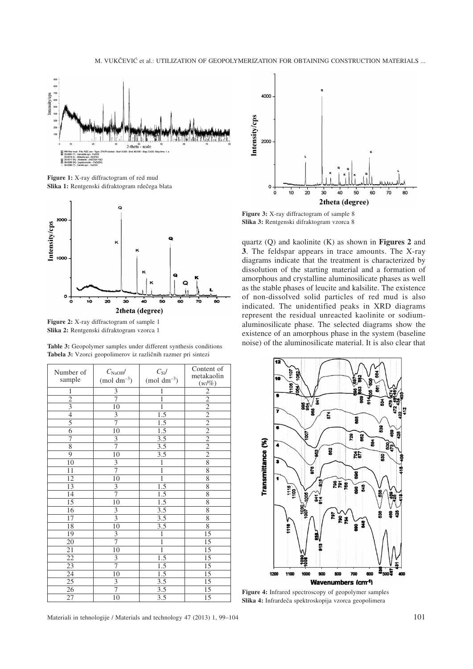

**Figure 1:** X-ray diffractogram of red mud Slika 1: Rentgenski difraktogram rdečega blata



**Figure 2:** X-ray diffractogram of sample 1 **Slika 2:** Rentgenski difraktogram vzorca 1

| Number of<br>sample | $C_{\text{NaOH}}/$<br>$(mod \text{ } dm^{-3})$ | $C_{\rm Si}/$<br>$(mod \text{ } dm^{-3})$ | Content of<br>metakaolin<br>$(w/\%)$ |
|---------------------|------------------------------------------------|-------------------------------------------|--------------------------------------|
| $\mathbf{1}$        |                                                | $\mathbf{1}$                              |                                      |
| $\overline{2}$      | $rac{3}{7}$                                    | $\mathbf{1}$                              | $\frac{2}{2}$                        |
| $\overline{3}$      | $\overline{10}$                                | $\overline{1}$                            |                                      |
| $\overline{4}$      | $\overline{3}$                                 | 1.5                                       | $\frac{2}{2}$                        |
| $\overline{5}$      | $\overline{7}$                                 | $\overline{1.5}$                          | $\frac{2}{2}$                        |
| $\overline{6}$      | $\overline{10}$                                | $\overline{1.5}$                          |                                      |
| 7                   | $\frac{3}{7}$                                  | $\overline{3.5}$                          | $\frac{2}{2}$                        |
| 8                   |                                                | $\overline{3.5}$                          |                                      |
| $\overline{9}$      | $\overline{10}$                                | $\overline{3.5}$                          | $\overline{2}$                       |
| $\overline{10}$     | $\overline{3}$                                 | $\overline{1}$                            | $\overline{8}$                       |
| 11                  | 7                                              | $\overline{1}$                            | $\overline{8}$                       |
| $\overline{12}$     | $\overline{10}$                                | $\overline{1}$                            | $\overline{8}$                       |
| $\overline{13}$     | $\overline{3}$                                 | $\overline{1.5}$                          | $\overline{8}$                       |
| $\overline{14}$     | $\overline{7}$                                 | $1.5\,$                                   | 8                                    |
| $\overline{15}$     | $\overline{10}$                                | $\overline{1.5}$                          | 8                                    |
| $\overline{16}$     |                                                | $\overline{3.5}$                          | $\overline{8}$                       |
| $\overline{17}$     | $rac{3}{3}$                                    | $\overline{3.5}$                          | $\overline{8}$                       |
| 18                  | 10                                             | $\overline{3.5}$                          | $\overline{8}$                       |
| 19                  | $rac{3}{7}$                                    | $\overline{1}$                            | $\overline{15}$                      |
| 20                  |                                                | $\overline{1}$                            | $\overline{15}$                      |
| $\overline{21}$     | 10                                             | $\mathbf{1}$                              | $\overline{15}$                      |
| $\overline{22}$     | $rac{3}{7}$                                    | $\overline{1.5}$                          | $\overline{15}$                      |
| $\overline{23}$     |                                                | 1.5                                       | $\overline{15}$                      |
| $\overline{24}$     | 10                                             | $\overline{1.5}$                          | $\overline{15}$                      |
| $\overline{25}$     | $\overline{3}$                                 | $\overline{3.5}$                          | $\overline{15}$                      |
| $\overline{26}$     | $\overline{7}$                                 | $\overline{3.5}$                          | $\overline{15}$                      |
| 27                  | 10                                             | $\overline{3.5}$                          | $\overline{15}$                      |

**Table 3:** Geopolymer samples under different synthesis conditions Tabela 3: Vzorci geopolimerov iz različnih razmer pri sintezi



**Figure 3:** X-ray diffractogram of sample 8 **Slika 3:** Rentgenski difraktogram vzorca 8

quartz (Q) and kaolinite (K) as shown in **Figures 2** and **3**. The feldspar appears in trace amounts. The X-ray diagrams indicate that the treatment is characterized by dissolution of the starting material and a formation of amorphous and crystalline aluminosilicate phases as well as the stable phases of leucite and kalsilite. The existence of non-dissolved solid particles of red mud is also indicated. The unidentified peaks in XRD diagrams represent the residual unreacted kaolinite or sodiumaluminosilicate phase. The selected diagrams show the existence of an amorphous phase in the system (baseline noise) of the aluminosilicate material. It is also clear that



**Figure 4:** Infrared spectroscopy of geopolymer samples Slika 4: Infrardeča spektroskopija vzorca geopolimera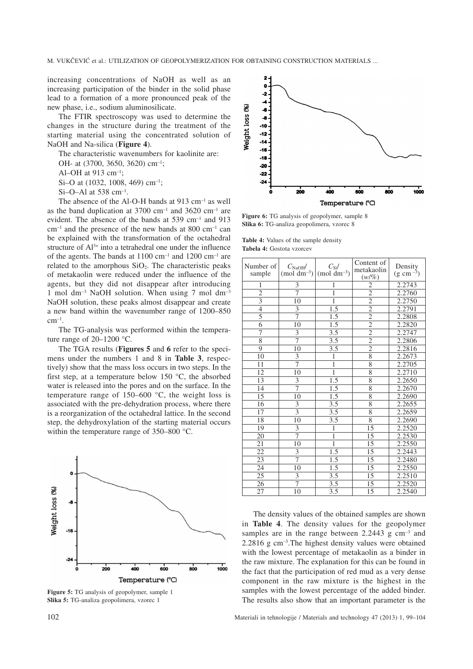increasing concentrations of NaOH as well as an increasing participation of the binder in the solid phase lead to a formation of a more pronounced peak of the new phase, i.e., sodium aluminosilicate.

The FTIR spectroscopy was used to determine the changes in the structure during the treatment of the starting material using the concentrated solution of NaOH and Na-silica (**Figure 4**).

The characteristic wavenumbers for kaolinite are:

OH- at (3700, 3650, 3620) cm–1;

Al–OH at 913 cm–1;

Si–O at (1032, 1008, 469) cm<sup>-1</sup>;

 $Si$ –O–Al at 538 cm<sup>-1</sup>.

The absence of the Al-O-H bands at 913 cm<sup>-1</sup> as well as the band duplication at  $3700 \text{ cm}^{-1}$  and  $3620 \text{ cm}^{-1}$  are evident. The absence of the bands at 539 cm–1 and 913  $cm^{-1}$  and the presence of the new bands at 800  $cm^{-1}$  can be explained with the transformation of the octahedral structure of  $Al^{3+}$  into a tetrahedral one under the influence of the agents. The bands at  $1100 \text{ cm}^{-1}$  and  $1200 \text{ cm}^{-1}$  are related to the amorphous  $SiO<sub>2</sub>$ . The characteristic peaks of metakaolin were reduced under the influence of the agents, but they did not disappear after introducing 1 mol dm<sup>-3</sup> NaOH solution. When using 7 mol dm<sup>-3</sup> NaOH solution, these peaks almost disappear and create a new band within the wavenumber range of 1200–850  $cm^{-1}$ .

The TG-analysis was performed within the temperature range of 20–1200 °C.

The TGA results (**Figures 5** and **6** refer to the specimens under the numbers 1 and 8 in **Table 3**, respectively) show that the mass loss occurs in two steps. In the first step, at a temperature below 150 °C, the absorbed water is released into the pores and on the surface. In the temperature range of  $150-600$  °C, the weight loss is associated with the pre-dehydration process, where there is a reorganization of the octahedral lattice. In the second step, the dehydroxylation of the starting material occurs within the temperature range of 350–800 °C.



**Figure 5:** TG analysis of geopolymer, sample 1 **Slika 5:** TG-analiza geopolimera, vzorec 1



**Figure 6:** TG analysis of geopolymer, sample 8 **Slika 6:** TG-analiza geopolimera, vzorec 8

**Table 4:** Values of the sample density **Tabela 4:** Gostota vzorcev

| Number of<br>sample | $C_{\text{NaOH}}/$<br>$(mol dm-3)$ | $C_{\rm Si}/$<br>$(mod \text{ } dm^{-3})$ | Content of<br>metakaolin<br>$(w/\%)$ | Density<br>$(g \text{ cm}^{-3})$ |
|---------------------|------------------------------------|-------------------------------------------|--------------------------------------|----------------------------------|
| $\mathbf{1}$        | 3                                  | 1                                         | $\overline{c}$                       | 2.2743                           |
| $\overline{2}$      | $\overline{7}$                     | $\mathbf{1}$                              | $\overline{2}$                       | 2.2760                           |
| $\overline{3}$      | 10                                 | $\mathbf{1}$                              | $\overline{2}$                       | 2.2750                           |
| $\overline{4}$      | $\overline{\overline{3}}$          | $\overline{1.5}$                          | $\overline{2}$                       | 2.2791                           |
| $\overline{5}$      | 7                                  | 1.5                                       | $\overline{2}$                       | 2.2808                           |
| $\overline{6}$      | 10                                 | 1.5                                       |                                      | 2.2820                           |
| 7                   | 3                                  | $\overline{3.5}$                          | $\frac{2}{2}$                        | 2.2747                           |
| 8                   | 7                                  | 3.5                                       | $\frac{2}{2}$                        | 2.2806                           |
| 9                   | 10                                 | $3.\overline{5}$                          |                                      | 2.2816                           |
| $\overline{1}0$     | $\overline{\overline{3}}$          | $\mathbf{1}$                              | $\overline{8}$                       | 2.2673                           |
| 11                  | 7                                  | $\mathbf{1}$                              | 8                                    | 2.2705                           |
| 12                  | 10                                 | $\overline{1}$                            | 8                                    | 2.2710                           |
| 13                  | 3                                  | 1.5                                       | $\overline{8}$                       | 2.2650                           |
| 14                  | 7                                  | 1.5                                       | $\overline{8}$                       | 2.2670                           |
| 15                  | 10                                 | 1.5                                       | 8                                    | 2.2690                           |
| $\overline{16}$     | $\overline{3}$                     | $\overline{3.5}$                          | $\overline{8}$                       | 2.2655                           |
| 17                  | $\overline{3}$                     | $\overline{3.5}$                          | $\overline{8}$                       | 2.2659                           |
| 18                  | 10                                 | $\overline{3.5}$                          | $\overline{8}$                       | 2.2690                           |
| 19                  | 3                                  | $\overline{1}$                            | 15                                   | 2.2520                           |
| 20                  | 7                                  | $\overline{1}$                            | 15                                   | 2.2530                           |
| 21                  | 10                                 | $\overline{1}$                            | 15                                   | 2.2550                           |
| $\overline{22}$     | 3                                  | $\overline{1.5}$                          | 15                                   | 2.2443                           |
| 23                  | $\overline{7}$                     | 1.5                                       | 15                                   | 2.2480                           |
| 24                  | 10                                 | 1.5                                       | 15                                   | 2.2550                           |
| 25                  | 3                                  | 3.5                                       | 15                                   | 2.2510                           |
| 26                  | 7                                  | 3.5                                       | 15                                   | 2.2520                           |
| 27                  | 10                                 | 3.5                                       | 15                                   | 2.2540                           |

The density values of the obtained samples are shown in **Table 4**. The density values for the geopolymer samples are in the range between  $2.2443$  g cm<sup>-3</sup> and 2.2816 g cm–3.The highest density values were obtained with the lowest percentage of metakaolin as a binder in the raw mixture. The explanation for this can be found in the fact that the participation of red mud as a very dense component in the raw mixture is the highest in the samples with the lowest percentage of the added binder. The results also show that an important parameter is the

102 Materiali in tehnologije / Materials and technology 47 (2013) 1, 99–104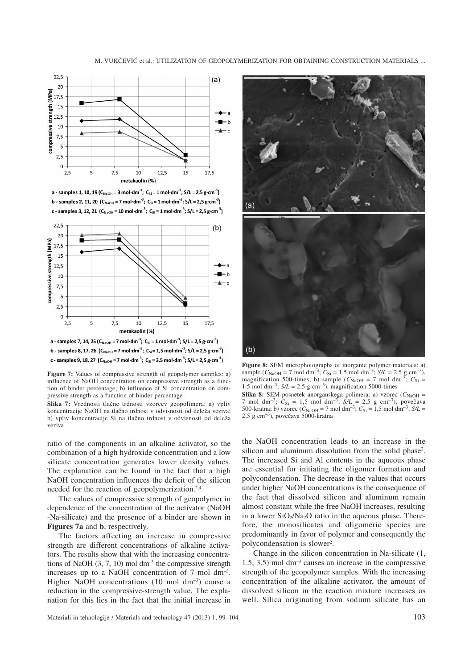



a - samples 1, 10, 19 ( $C_{\text{NaOH}}$  = 3 mol·dm<sup>-3</sup>;  $C_{\text{Si}}$  = 1 mol·dm<sup>-3</sup>;  $S/L$  = 2,5 g·cm<sup>-3</sup>) b - samples 2, 11, 20  $(C_{\text{NaOH}} = 7 \text{ mol} \cdot \text{dm}^{-3}$ ;  $C_{\text{Si}} = 1 \text{ mol} \cdot \text{dm}^{-3}$ ;  $S/L = 2.5 \text{ g} \cdot \text{cm}^{-3}$ ) c - samples 3, 12, 21 ( $C_{\text{NaOH}}$  = 10 mol·dm<sup>-3</sup>;  $C_{\text{Si}}$  = 1 mol·dm<sup>-3</sup>; S/L = 2,5 g·cm<sup>-3</sup>)



c - samples 9, 18, 27 ( $C_{\text{NaOH}}$  = 7 mol·dm<sup>-3</sup>;  $C_{\text{Si}}$  = 3,5 mol·dm<sup>-3</sup>; S/L = 2,5 g·cm<sup>-3</sup>)

**Figure 7:** Values of compressive strength of geopolymer samples: a) influence of NaOH concentration on compressive strength as a function of binder percentage; b) influence of Si concentration on compressive strength as a function of binder percentage

Slika 7: Vrednosti tlačne trdnosti vzorcev geopolimera: a) vpliv koncentracije NaOH na tlačno trdnost v odvisnosti od deleža veziva; b) vpliv koncentracije Si na tlačno trdnost v odvisnosti od deleža veziva

ratio of the components in an alkaline activator, so the combination of a high hydroxide concentration and a low silicate concentration generates lower density values. The explanation can be found in the fact that a high NaOH concentration influences the deficit of the silicon needed for the reaction of geopolymerization.2,4

The values of compressive strength of geopolymer in dependence of the concentration of the activator (NaOH -Na-silicate) and the presence of a binder are shown in **Figures 7a** and **b**, respectively.

The factors affecting an increase in compressive strength are different concentrations of alkaline activators. The results show that with the increasing concentrations of NaOH  $(3, 7, 10)$  mol dm<sup>-3</sup> the compressive strength increases up to a NaOH concentration of 7 mol dm–3. Higher NaOH concentrations (10 mol dm<sup>-3</sup>) cause a reduction in the compressive-strength value. The explanation for this lies in the fact that the initial increase in



**Figure 8:** SEM microphotographs of inorganic polymer materials: a) sample  $(C_{\text{NaOH}} = 7 \text{ mol dm}^{-3}$ ;  $C_{\text{Si}} = 1.5 \text{ mol dm}^{-3}$ ;  $S/L = 2.5 \text{ g cm}^{-3}$ ), magnification 500-times; b) sample  $(C_{\text{NaOH}} = 7 \text{ mol dm}^{-3}$ ;  $C_{\text{Si}} =$ magnification 500-times; b) sample  $(C_{\text{NaOH}} = 7 \text{ mol dm}^{-1})$ 1.5 mol dm<sup>-3</sup>;  $S/L = 2.5$  g cm<sup>-3</sup>), magnification 5000-times **Slika 8:** SEM-posnetek anorganskega polimera: a) vzorec  $(C_{\text{NaOH}} =$ 7 mol dm<sup>-3</sup>;  $C_{\text{Si}} = 1.5$  mol dm<sup>-3</sup>;  $S/L = 2.5$  g cm<sup>-3</sup>), povečava 500-kratna; b) vzorec  $(C_{\text{NaOH}} = 7 \text{ mol dm}^{-3}$ ;  $C_{\text{Si}} = 1.5 \text{ mol dm}^{-3}$ ;  $S/L =$  $2.5 \text{ g cm}^{-3}$ ), povečava 5000-kratna

the NaOH concentration leads to an increase in the silicon and aluminum dissolution from the solid phase<sup>2</sup>. The increased Si and Al contents in the aqueous phase are essential for initiating the oligomer formation and polycondensation. The decrease in the values that occurs under higher NaOH concentrations is the consequence of the fact that dissolved silicon and aluminum remain almost constant while the free NaOH increases, resulting in a lower  $SiO<sub>2</sub>/Na<sub>2</sub>O$  ratio in the aqueous phase. Therefore, the monosilicates and oligomeric species are predominantly in favor of polymer and consequently the polycondensation is slower2.

Change in the silicon concentration in Na-silicate (1, 1.5, 3.5) mol dm–3 causes an increase in the compressive strength of the geopolymer samples. With the increasing concentration of the alkaline activator, the amount of dissolved silicon in the reaction mixture increases as well. Silica originating from sodium silicate has an